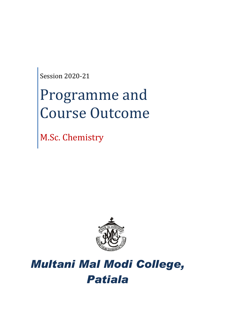Session 2020-21

# Programme and Course Outcome

M.Sc. Chemistry



# *Multani Mal Modi College, Patiala*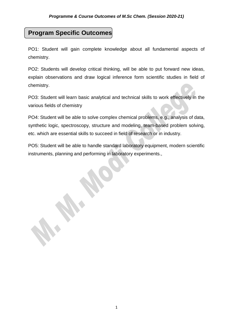# **Program Specific Outcomes**

PO1: Student will gain complete knowledge about all fundamental aspects of chemistry.

PO2: Students will develop critical thinking, will be able to put forward new ideas, explain observations and draw logical inference form scientific studies in field of chemistry.

PO3: Student will learn basic analytical and technical skills to work effectively in the various fields of chemistry

PO4: Student will be able to solve complex chemical problems, e.g., analysis of data, synthetic logic, spectroscopy, structure and modeling, team-based problem solving, etc. which are essential skills to succeed in field of research or in industry.

PO5: Student will be able to handle standard laboratory equipment, modern scientific instruments, planning and performing in laboratory experiments.,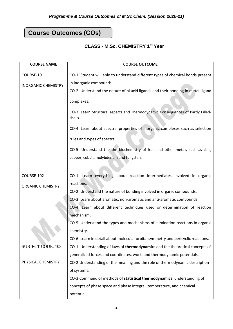# **Course Outcomes (COs)**

# **CLASS - M.Sc. CHEMISTRY 1st Year**

| <b>COURSE NAME</b>         | <b>COURSE OUTCOME</b>                                                                      |
|----------------------------|--------------------------------------------------------------------------------------------|
| COURSE-101                 | CO-1. Student will able to understand different types of chemical bonds present            |
| <b>INORGANIC CHEMISTRY</b> | in inorganic compounds.                                                                    |
|                            | CO-2. Understand the nature of pi acid ligands and their bonding in metal-ligand           |
|                            | complexes.                                                                                 |
|                            | CO-3. Learn Structural aspects and Thermodynamic Consequences of Partly Filled-<br>shells. |
|                            | CO-4. Learn about spectral properties of inorganic complexes such as selection             |
|                            | rules and types of spectra.                                                                |
|                            | CO-5. Understand the the biochemistry of Iron and other metals such as zinc,               |
|                            | copper, cobalt, molybdenum and tungsten.                                                   |
|                            |                                                                                            |
| COURSE-102                 | CO-1. Learn everything about reaction intermediates involved in organic                    |
| <b>ORGANIC CHEMISTRY</b>   | reactions.                                                                                 |
|                            | CO-2. Understand the nature of bonding involved in organic compounds.                      |
|                            | CO-3. Learn about aromatic, non-aromatic and anti-aromatic compounds.                      |
|                            | CO-4. Learn about different techniques used or determination of reaction                   |
|                            | mechanism.                                                                                 |
|                            | CO-5. Understand the types and mechanisms of elimination reactions in organic              |
|                            | chemistry.                                                                                 |
|                            | CO-6. Learn in detail about molecular orbital symmetry and pericyclic reactions.           |
| <b>SUBJECT CODE: 103</b>   | CO-1. Understanding of laws of thermodynamics and the theoretical concepts of              |
|                            | generalized forces and coordinates, work, and thermodynamic potentials.                    |
| PHYSICAL CHEMISTRY         | CO-2. Understanding of the meaning and the role of thermodynamic description               |
|                            | of systems.                                                                                |
|                            | CO-3.Command of methods of statistical thermodynamics, understanding of                    |
|                            | concepts of phase space and phase integral, temperature, and chemical                      |
|                            | potential.                                                                                 |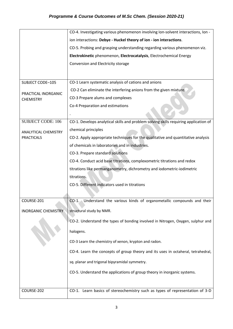|                                         | CO-4. Investigating various phenomenon involving Ion-solvent interactions, Ion -     |
|-----------------------------------------|--------------------------------------------------------------------------------------|
|                                         | ion interactions: Debye - Huckel theory of ion - ion interactions.                   |
|                                         | CO-5. Probing and grasping understanding regarding various phenomenon viz.           |
|                                         | Electrokinetic phenomenon, Electrocatalysis, Electrochemical Energy                  |
|                                         | Conversion and Electricity storage                                                   |
|                                         |                                                                                      |
| SUBJECT CODE-105                        | CO-1 Learn systematic analysis of cations and anions                                 |
| PRACTICAL INORGANIC<br><b>CHEMISTRY</b> | CO-2 Can eliminate the interfering anions from the given mixture.                    |
|                                         | CO-3 Prepare alums and complexes                                                     |
|                                         | Co-4 Preparation and estimations                                                     |
|                                         |                                                                                      |
| <b>SUBJECT CODE: 106</b>                | CO-1. Develops analytical skills and problem solving skills requiring application of |
| <b>ANALYTICAL CHEMISTRY</b>             | chemical principles                                                                  |
| <b>PRACTICALS</b>                       | CO-2. Apply appropriate techniques for the qualitative and quantitative analysis     |
|                                         | of chemicals in laboratories and in industries.                                      |
|                                         | CO-3. Prepare standard solutions                                                     |
|                                         | CO-4. Conduct acid base titrations, complexometric titrations and redox              |
|                                         | titrations like permanganometry, dichrometry and iodometric-iodimetric               |
|                                         | titrations.                                                                          |
|                                         | CO-5. Different indicators used in titrations                                        |
|                                         |                                                                                      |
| COURSE-201                              | Understand the various kinds of organometallic compounds and their<br>$CO-1.$        |
| <b>INORGANIC CHEMISTRY</b>              | structural study by NMR.                                                             |
|                                         | CO-2. Understand the types of bonding involved in Nitrogen, Oxygen, sulphur and      |
|                                         | halogens.                                                                            |
|                                         | CO-3 Learn the chemistry of xenon, krypton and radon.                                |
|                                         | CO-4. Learn the concepts of group theory and its uses in octaheral, tetrahedral,     |
|                                         | sq. planar and trigonal bipyramidal symmetry.                                        |
|                                         | CO-5. Understand the applications of group theory in inorganic systems.              |
|                                         |                                                                                      |
| COURSE-202                              | CO-1. Learn basics of stereochemistry such as types of representation of 3-D         |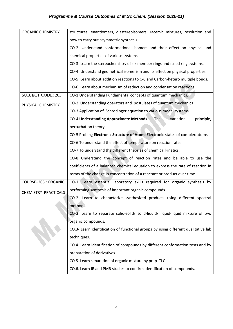# *Programme & Course Outcomes of M.Sc Chem. (Session 2020-21)*

| <b>ORGANIC CHEMISTRY</b>    | structures, enantiomers, diastereoisomers, racemic mixtures, resolution and        |
|-----------------------------|------------------------------------------------------------------------------------|
|                             | how to carry out asymmetric synthesis.                                             |
|                             | CO-2. Understand conformational isomers and their effect on physical and           |
|                             | chemical properties of various systems.                                            |
|                             | CO-3. Learn the stereochemistry of six member rings and fused ring systems.        |
|                             | CO-4. Understand geometrical isomerism and its effect on physical properties.      |
|                             | CO-5. Learn about addition reactions to C-C and Carbon-hetero multiple bonds.      |
|                             | CO-6. Learn about mechanism of reduction and condensation reactions.               |
| <b>SUBJECT CODE: 203</b>    | CO-1 Understanding Fundamental concepts of quantum mechanics.                      |
| PHYSICAL CHEMISTRY          | CO-2 Understanding operators and postulates of quantum mechanics                   |
|                             | CO-3 Application of Schrodinger equation to various model systems.                 |
|                             | <b>CO-4 Understanding Approximate Methods</b><br>variation<br>The<br>principle,    |
|                             | perturbation theory.                                                               |
|                             | CO-5 Probing Electronic Structure of Atom: Electronic states of complex atoms      |
|                             | CO-6 To understand the effect of temperature on reaction rates.                    |
|                             | CO-7 To understand the different theories of chemical kinetics.                    |
|                             | CO-8 Understand the concept of reaction rates and be able to use the               |
|                             | coefficients of a balanced chemical equation to express the rate of reaction in    |
|                             | terms of the change in concentration of a reactant or product over time.           |
| <b>COURSE-205 : ORGANIC</b> | CO-1. Learn essential laboratory skills required for organic synthesis by          |
| CHEMISTRY PRACTICALS        | performing synthesis of important organic compounds.                               |
|                             | CO-2. Learn to characterize synthesized products using different spectral          |
|                             | methods.                                                                           |
|                             | CO-3. Learn to separate solid-solid/ solid-liquid/ liquid-liquid mixture of two    |
|                             | organic compounds.                                                                 |
|                             | CO.3- Learn identification of functional groups by using different qualitative lab |
|                             | techniques.                                                                        |
|                             | CO.4. Learn identification of compounds by different conformation tests and by     |
|                             | preparation of derivatives.                                                        |
|                             | CO.5. Learn separation of organic mixture by prep. TLC.                            |
|                             | CO.6. Learn IR and PMR studies to confirm identification of compounds.             |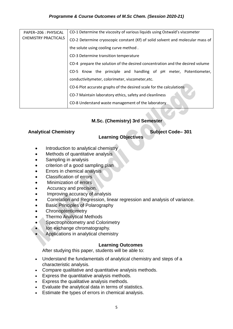#### *Programme & Course Outcomes of M.Sc Chem. (Session 2020-21)*

| PAPER-206 : PHYSICAL<br><b>CHEMISTRY PRACTICALS</b> | CO-1 Determine the viscosity of various liquids using Ostwald's viscometer     |
|-----------------------------------------------------|--------------------------------------------------------------------------------|
|                                                     | CO-2 Determine cryoscopic constant (Kf) of solid solvent and molecular mass of |
|                                                     | the solute using cooling curve method.                                         |
|                                                     | CO-3 Determine transition temperature                                          |
|                                                     | CO-4 prepare the solution of the desired concentration and the desired volume  |
|                                                     | CO-5 Know the principle and handling of pH meter, Potentiometer,               |
|                                                     | conductivitymeter, colorimeter, viscometer, etc.                               |
|                                                     | CO-6 Plot accurate graphs of the desired scale for the calculations            |
|                                                     | CO-7 Maintain laboratory ethics, safety and cleanliness                        |
|                                                     | CO-8 Understand waste management of the laboratory                             |
|                                                     |                                                                                |

#### **M.Sc. (Chemistry) 3rd Semester**

#### Analytical Chemistry **Subject Code–** 301

#### **Learning Objectives**

- Introduction to analytical chemistry
- Methods of quantitative analysis
- Sampling in analysis
- criterion of a good sampling plan
- Errors in chemical analysis
- Classification of errors
- Minimization of errors
- Accuracy and precision.
- Improving accuracy of analysis
- Correlation and Regression, linear regression and analysis of variance.
- Basic Principles of Polarography
- **Chronoptentiometry**
- Thermo Analytical Methods
- Spectrophotometry and Colorimetry
- Ion exchange chromatography.
- Applications in analytical chemistry

#### **Learning Outcomes**

After studying this paper, students will be able to:

- Understand the fundamentals of analytical chemistry and steps of a characteristic analysis.
- Compare qualitative and quantitative analysis methods.
- Express the quantitative analysis methods.
- Express the qualitative analysis methods.
- Evaluate the analytical data in terms of statistics.
- Estimate the types of errors in chemical analysis.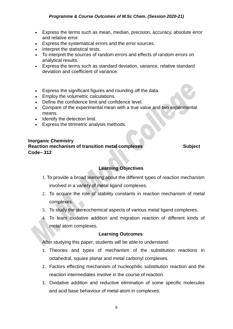- Express the terms such as mean, median, precision, accuracy, absolute error and relative error.
- Express the systematical errors and the error sources.
- Interpret the statistical tests.
- To interpret the sources of random errors and effects of random errors on analytical results.
- Express the terms such as standard deviation, variance, relative standard deviation and coefficient of variance.
- Express the significant figures and rounding off the data.
- **Employ the volumetric calculations.**
- Define the confidence limit and confidence level.
- Compare of the experimental mean with a true value and two experimental means.
- Identify the detection limit.
- Express the titrimetric analysis methods.

#### **Inorganic Chemistry Reaction mechanism of transition metal complexes <b>Subject** Subject **Code– 312**

#### **Learning Objectives**

- 1. To provide a broad learning about the different types of reaction mechanism involved in a variety of metal ligand complexes.
- 2. To acquire the role of stability constants in reaction mechanism of metal complexes.
- 3. To study the stereochemical aspects of various metal ligand complexes.
- 4. To learn oxidative addition and migration reaction of different kinds of metal atom complexes.

#### **Learning Outcomes**

After studying this paper, students will be able to understand:

- 1. Theories and types of mechanism of the substitution reactions in octahedral, square planar and metal carbonyl complexes.
- 2. Factors effecting mechanism of nucleophilic substitution reaction and the reaction intermediates involve in the course of reaction.
- 3. Oxidative addition and reductive elimination of some specific molecules and acid base behaviour of metal atom in complexes.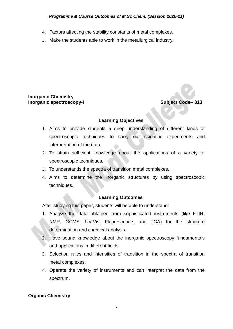#### *Programme & Course Outcomes of M.Sc Chem. (Session 2020-21)*

- 4. Factors affecting the stability constants of metal complexes.
- 5. Make the students able to work in the metallurgical industry.

#### **Inorganic Chemistry Inorganic spectroscopy-I Inorganic Subject Code–** 313

#### **Learning Objectives**

- 1. Aims to provide students a deep understanding of different kinds of spectroscopic techniques to carry out scientific experiments and interpretation of the data.
- 2. To attain sufficient knowledge about the applications of a variety of spectroscopic techniques.
- 3. To understands the spectra of transition metal complexes.
- 4. Aims to determine the inorganic structures by using spectroscopic techniques.

#### **Learning Outcomes**

After studying this paper, students will be able to understand:

- **1.** Analyze the data obtained from sophisticated instruments (like FTIR, NMR, GCMS, UV-Vis, Fluorescence, and TGA) for the structure determination and chemical analysis.
- **2.** Have sound knowledge about the inorganic spectroscopy fundamentals and applications in different fields.
- 3. Selection rules and intensities of transition in the spectra of transition metal complexes.
- 4. Operate the variety of instruments and can interpret the data from the spectrum.

#### **Organic Chemistry**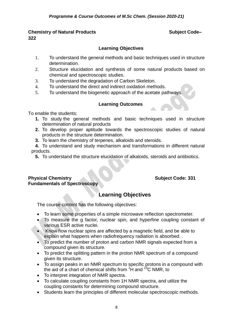#### **Chemistry of Natural Products Subject Code– 322**

#### **Learning Objectives**

- 1. To understand the general methods and basic techniques used in structure determination.
- 2. Structure elucidation and synthesis of some natural products based on chemical and spectroscopic studies.
- 3. To understand the degradation of Carbon Skeleton.
- 4. To understand the direct and indirect oxidation methods.
- 5. To understand the biogenetic approach of the acetate pathways.

#### **Learning Outcomes**

To enable the students:

- **1.** To study the general methods and basic techniques used in structure determination of natural products
- **2.** To develop proper aptitude towards the spectroscopic studies of natural products in the structure determination.
- **3.** To learn the chemistry of terpenes, alkaloids and steroids.

**4.** To understand and study mechanism and transformations in different natural products.

**5.** To understand the structure elucidation of alkaloids, steroids and antibiotics.

#### **Physical Chemistry <b>Subject Code: 331 Fundamentals of Spectroscopy**

# **Learning Objectives**

The course content has the following objectives:

- To learn some properties of a simple microwave reflection spectrometer.
- To measure the g factor, nuclear spin, and hyperfine coupling constant of various ESR active nuclei.
- Know how nuclear spins are affected by a magnetic field, and be able to explain what happens when radiofrequency radiation is absorbed. .
- To predict the number of proton and carbon NMR signals expected from a compound given its structure.
- To predict the splitting pattern in the proton NMR spectrum of a compound given its structure.
- To assign peaks in an NMR spectrum to specific protons in a compound with the aid of a chart of chemical shifts from  ${}^{1}H$  and  ${}^{13}C$  NMR, to
- To interpret integration of NMR spectra.
- To calculate coupling constants from 1H NMR spectra, and utilize the coupling constants for determining compound structure.
- Students learn the principles of different molecular spectroscopic methods.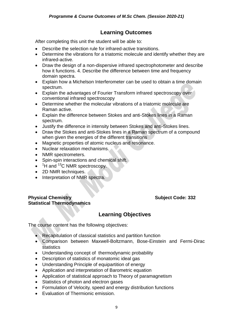After completing this unit the student will be able to:

- Describe the selection rule for infrared-active transitions.
- Determine the vibrations for a triatomic molecule and identify whether they are infrared-active.
- Draw the design of a non-dispersive infrared spectrophotometer and describe how it functions. 4. Describe the difference between time and frequency domain spectra.
- Explain how a Michelson Interferometer can be used to obtain a time domain spectrum.
- Explain the advantages of Fourier Transform infrared spectroscopy over conventional infrared spectroscopy
- Determine whether the molecular vibrations of a triatomic molecule are Raman active.
- Explain the difference between Stokes and anti-Stokes lines in a Raman spectrum.
- Justify the difference in intensity between Stokes and anti-Stokes lines.
- Draw the Stokes and anti-Stokes lines in a Raman spectrum of a compound when given the energies of the different transitions
- Magnetic properties of atomic nucleus and resonance.
- Nuclear relaxation mechanisms.
- NMR spectrometers.
- Spin-spin interactions and chemical shift.
- $\bullet$  <sup>1</sup>H and <sup>13</sup>C NMR spectroscopy.
- 2D NMR techniques.
- Interpretation of NMR spectra.

#### **Physical Chemistry <b>Subject Code:** 332 **Statistical Thermodynamics**

# **Learning Objectives**

The course content has the following objectives:

- Recapitulation of classical statistics and partition function
- Comparison between Maxwell-Boltzmann, Bose-Einstein and Fermi-Dirac statistics
- Understanding concept of thermodynamic probability
- Description of statistics of monatomic ideal gas
- Understanding Principle of equipartition of energy
- Application and interpretation of Barometric equation
- Application of statistical approach to Theory of paramagnetism
- Statistics of photon and electron gases
- Formulation of Velocity, speed and energy distribution functions
- Fyaluation of Thermionic emission.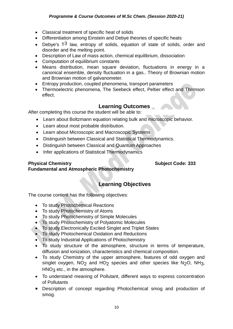- Classical treatment of specific heat of solids
- Differentiation among Einstein and Debye theories of specific heats
- Debye's  $T^3$  law, entropy of solids, equation of state of solids, order and disorder and the melting point.
- Description of Law of mass action, chemical equilibrium, dissociation
- Computation of equilibrium constants
- Means distribution, mean square deviation, fluctuations in energy in a canonical ensemble, density fluctuation in a gas.. Theory of Brownian motion and Brownian motion of galvanometer.
- Entropy production, coupled phenomena, transport parameters
- Thermoelectric phenomena, The Seebeck effect, Peltier effect and Thomson effect.

After completing this course the student will be able to:

- Learn about Boltzmann equation relating bulk and microscopic behavior.
- Learn about most probable distribution.
- Learn about Microscopic and Macroscopic Systems
- Distinguish between Classical and Statistical Thermodynamics.
- Distinguish between Classical and Quantum Approaches
- Infer applications of Statistical Thermodynamics

#### **Physical Chemistry <b>Subject Code: 333**

# **Fundamental and Atmospheric Photochemistry**

# **Learning Objectives**

The course content has the following objectives:

- To study Photochemical Reactions
- To study Photochemistry of Atoms
- To study Photochemistry of Simple Molecules
- To study Photochemistry of Polyatomic Molecules
- To study Electronically Excited Singlet and Triplet States
- To study Photochemical Oxidation and Reductions
- To study Industrial Applications of Photochemistry
- To study structure of the atmosphere, structure in terms of temperature, diffusion and ionization, characteristics and chemical composition.
- To study Chemistry of the upper atmosphere, features of odd oxygen and singlet oxygen,  $NO<sub>2</sub>$  and  $HO<sub>2</sub>$  species and other species like  $N<sub>2</sub>O$ ,  $NH<sub>3</sub>$ ,  $HNO<sub>3</sub>$  etc., in the atmosphere.
- To understand meaning of Pollutant, different ways to express concentration of Pollutants
- Description of concept regarding Photochemical smog and production of smog.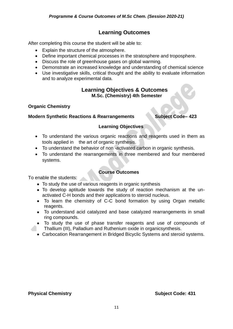After completing this course the student will be able to:

- Explain the structure of the atmosphere.
- Define important chemical processes in the stratosphere and troposphere.
- Discuss the role of greenhouse gases on global warming.
- Demonstrate an increased knowledge and understanding of chemical science
- Use investigative skills, critical thought and the ability to evaluate information and to analyze experimental data.

#### **Learning Objectives & Outcomes M.Sc. (Chemistry) 4th Semester**

#### **Organic Chemistry**

#### **Modern Synthetic Reactions & Rearrangements Subject Code– 423**

#### **Learning Objectives**

- To understand the various organic reactions and reagents used in them as tools applied in the art of organic synthesis.
- To understand the behavior of non -activated carbon in organic synthesis.
- To understand the rearrangements in three membered and four membered systems.

#### **Course Outcomes**

To enable the students:

- To study the use of various reagents in organic synthesis
- To develop aptitude towards the study of reaction mechanism at the unactivated C-H bonds and their applications to steroid nucleus.
- To learn the chemistry of C-C bond formation by using Organ metallic reagents.
- To understand acid catalyzed and base catalyzed rearrangements in small ring compounds.
- To study the use of phase transfer reagents and use of compounds of Thallium (III), Palladium and Ruthenium oxide in organicsynthesis.
- Carbocation Rearrangement in Bridged Bicyclic Systems and steroid systems.

#### **Physical Chemistry Community Contract Code: 431**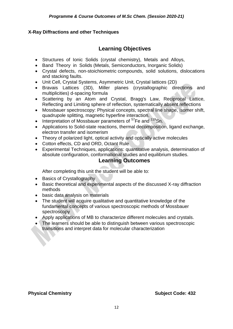#### **X-Ray Diffractions and other Techniques**

# **Learning Objectives**

- Structures of Ionic Solids (crystal chemistry), Metals and Alloys,
- Band Theory in Solids (Metals, Semiconductors, Inorganic Solids)
- Crystal defects, non-stoichiometric compounds, solid solutions, dislocations and stacking faults.
- Unit Cell, Crystal Systems, Asymmetric Unit, Crystal lattices (2D)
- Bravais Lattices (3D), Miller planes (crystallographic directions and multiplicities) d-spacing formula
- Scattering by an Atom and Crystal, Bragg's Law, Reciprocal Lattice, Reflecting and Limiting sphere of reflection, systematically absent reflections
- Mossbauer spectroscopy: Physical concepts, spectral line shape, isomer shift, quadrupole splitting, magnetic hyperfine interaction.
- Interpretation of Mossbauer parameters of  $57$ Fe and  $119$ Sn.
- Applications to Solid-state reactions, thermal decomposition, ligand exchange, electron transfer and isomerism
- Theory of polarized light, optical activity and optically active molecules
- Cotton effects, CD and ORD, Octant Rule
- Experimental Techniques, applications: quantitative analysis, determination of absolute configuration, conformational studies and equilibrium studies.

### **Learning Outcomes**

After completing this unit the student will be able to:

- Basics of Crystallography
- Basic theoretical and experimental aspects of the discussed X-ray diffraction methods
- basic data analysis on materials
- The student will acquire qualitative and quantitative knowledge of the fundamental concepts of various spectroscopic methods of Mossbauer spectroscopy
- Apply applications of MB to characterize different molecules and crystals.
- The learners should be able to distinguish between various spectroscopic transitions and interpret data for molecular characterization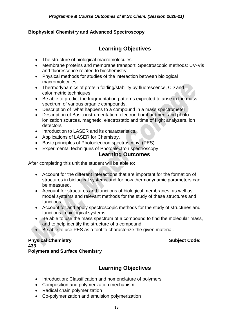#### **Biophysical Chemistry and Advanced Spectroscopy**

# **Learning Objectives**

- The structure of biological macromolecules.
- Membrane proteins and membrane transport. Spectroscopic methods: UV-Vis and fluorescence related to biochemistry
- Physical methods for studies of the interaction between biological macromolecules.
- Thermodynamics of protein folding/stability by fluorescence, CD and calorimetric techniques
- Be able to predict the fragmentation patterns expected to arise in the mass spectrum of various organic compounds.
- Description of what happens to a compound in a mass spectrometer
- Description of Basic instrumentation: electron bombardment and photo ionization sources, magnetic, electrostatic and time of flight analyzers, ion detectors
- Introduction to LASER and its characteristics.
- Applications of LASER for Chemistry.
- Basic principles of Photoelectron spectroscopy. (PES)
- Experimental techniques of Photoelectron spectroscopy

#### **Learning Outcomes**

After completing this unit the student will be able to:

- Account for the different interactions that are important for the formation of structures in biological systems and for how thermodynamic parameters can be measured.
- Account for structures and functions of biological membranes, as well as model systems and relevant methods for the study of these structures and functions.
- Account for and apply spectroscopic methods for the study of structures and functions in biological systems
- Be able to use the mass spectrum of a compound to find the molecular mass, and to help identify the structure of a compound.
- Be able to use PES as a tool to characterize the given material.

#### **Physical Chemistry Subject Code: Subject Code: Subject Code: Subject Code: 433 Polymers and Surface Chemistry**

# **Learning Objectives**

- Introduction: Classification and nomenclature of polymers
- Composition and polymerization mechanism.
- Radical chain polymerization
- Co-polymerization and emulsion polymerization